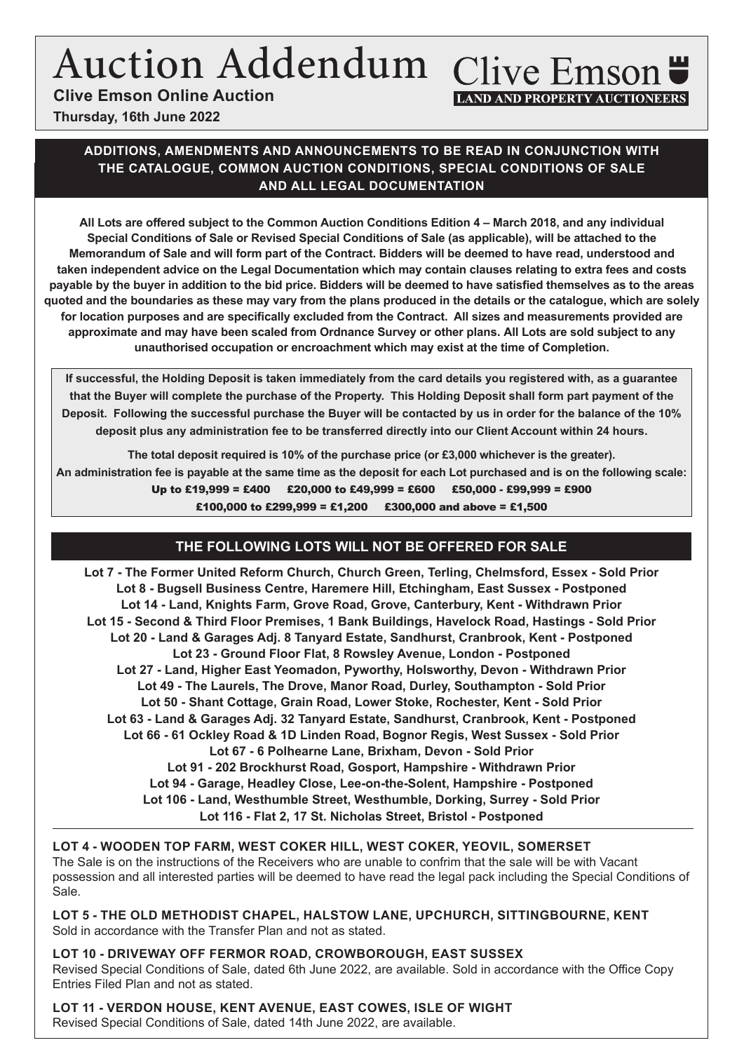# Auction Addendum Clive Emson

**Clive Emson Online Auction**

# **LAND AND PROPERTY AUCTIONEERS**

**Thursday, 16th June 2022**

#### **ADDITIONS, AMENDMENTS AND ANNOUNCEMENTS TO BE READ IN CONJUNCTION WITH THE CATALOGUE, COMMON AUCTION CONDITIONS, SPECIAL CONDITIONS OF SALE AND ALL LEGAL DOCUMENTATION**

**All Lots are offered subject to the Common Auction Conditions Edition 4 – March 2018, and any individual Special Conditions of Sale or Revised Special Conditions of Sale (as applicable), will be attached to the Memorandum of Sale and will form part of the Contract. Bidders will be deemed to have read, understood and taken independent advice on the Legal Documentation which may contain clauses relating to extra fees and costs payable by the buyer in addition to the bid price. Bidders will be deemed to have satisfied themselves as to the areas quoted and the boundaries as these may vary from the plans produced in the details or the catalogue, which are solely for location purposes and are specifically excluded from the Contract. All sizes and measurements provided are approximate and may have been scaled from Ordnance Survey or other plans. All Lots are sold subject to any unauthorised occupation or encroachment which may exist at the time of Completion.**

**If successful, the Holding Deposit is taken immediately from the card details you registered with, as a guarantee that the Buyer will complete the purchase of the Property. This Holding Deposit shall form part payment of the Deposit. Following the successful purchase the Buyer will be contacted by us in order for the balance of the 10% deposit plus any administration fee to be transferred directly into our Client Account within 24 hours.** 

**The total deposit required is 10% of the purchase price (or £3,000 whichever is the greater). An administration fee is payable at the same time as the deposit for each Lot purchased and is on the following scale:** Up to £19,999 = £400 £20,000 to £49,999 = £600 £50,000 - £99,999 = £900 £100,000 to £299,999 = £1,200 £300,000 and above = £1,500

### **THE FOLLOWING LOTS WILL NOT BE OFFERED FOR SALE**

**Lot 7 - The Former United Reform Church, Church Green, Terling, Chelmsford, Essex - Sold Prior Lot 8 - Bugsell Business Centre, Haremere Hill, Etchingham, East Sussex - Postponed Lot 14 - Land, Knights Farm, Grove Road, Grove, Canterbury, Kent - Withdrawn Prior Lot 15 - Second & Third Floor Premises, 1 Bank Buildings, Havelock Road, Hastings - Sold Prior Lot 20 - Land & Garages Adj. 8 Tanyard Estate, Sandhurst, Cranbrook, Kent - Postponed Lot 23 - Ground Floor Flat, 8 Rowsley Avenue, London - Postponed Lot 27 - Land, Higher East Yeomadon, Pyworthy, Holsworthy, Devon - Withdrawn Prior Lot 49 - The Laurels, The Drove, Manor Road, Durley, Southampton - Sold Prior Lot 50 - Shant Cottage, Grain Road, Lower Stoke, Rochester, Kent - Sold Prior Lot 63 - Land & Garages Adj. 32 Tanyard Estate, Sandhurst, Cranbrook, Kent - Postponed Lot 66 - 61 Ockley Road & 1D Linden Road, Bognor Regis, West Sussex - Sold Prior Lot 67 - 6 Polhearne Lane, Brixham, Devon - Sold Prior Lot 91 - 202 Brockhurst Road, Gosport, Hampshire - Withdrawn Prior Lot 94 - Garage, Headley Close, Lee-on-the-Solent, Hampshire - Postponed Lot 106 - Land, Westhumble Street, Westhumble, Dorking, Surrey - Sold Prior Lot 116 - Flat 2, 17 St. Nicholas Street, Bristol - Postponed**

#### **LOT 4 - WOODEN TOP FARM, WEST COKER HILL, WEST COKER, YEOVIL, SOMERSET**

The Sale is on the instructions of the Receivers who are unable to confrim that the sale will be with Vacant possession and all interested parties will be deemed to have read the legal pack including the Special Conditions of Sale.

**LOT 5 - THE OLD METHODIST CHAPEL, HALSTOW LANE, UPCHURCH, SITTINGBOURNE, KENT** Sold in accordance with the Transfer Plan and not as stated.

**LOT 10 - DRIVEWAY OFF FERMOR ROAD, CROWBOROUGH, EAST SUSSEX** Revised Special Conditions of Sale, dated 6th June 2022, are available. Sold in accordance with the Office Copy Entries Filed Plan and not as stated.

**LOT 11 - VERDON HOUSE, KENT AVENUE, EAST COWES, ISLE OF WIGHT** Revised Special Conditions of Sale, dated 14th June 2022, are available.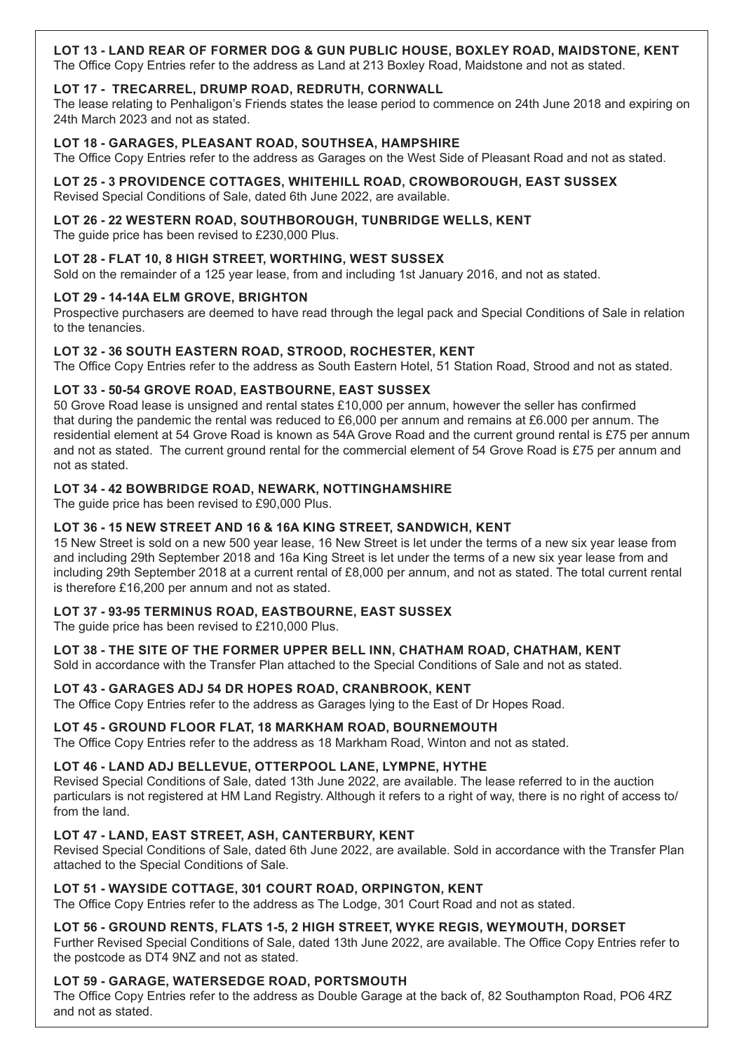#### **LOT 13 - LAND REAR OF FORMER DOG & GUN PUBLIC HOUSE, BOXLEY ROAD, MAIDSTONE, KENT**

The Office Copy Entries refer to the address as Land at 213 Boxley Road, Maidstone and not as stated.

#### **LOT 17 - TRECARREL, DRUMP ROAD, REDRUTH, CORNWALL**

The lease relating to Penhaligon's Friends states the lease period to commence on 24th June 2018 and expiring on 24th March 2023 and not as stated.

#### **LOT 18 - GARAGES, PLEASANT ROAD, SOUTHSEA, HAMPSHIRE**

The Office Copy Entries refer to the address as Garages on the West Side of Pleasant Road and not as stated.

#### **LOT 25 - 3 PROVIDENCE COTTAGES, WHITEHILL ROAD, CROWBOROUGH, EAST SUSSEX**

Revised Special Conditions of Sale, dated 6th June 2022, are available.

#### **LOT 26 - 22 WESTERN ROAD, SOUTHBOROUGH, TUNBRIDGE WELLS, KENT**

The guide price has been revised to £230,000 Plus.

#### **LOT 28 - FLAT 10, 8 HIGH STREET, WORTHING, WEST SUSSEX**

Sold on the remainder of a 125 year lease, from and including 1st January 2016, and not as stated.

#### **LOT 29 - 14-14A ELM GROVE, BRIGHTON**

Prospective purchasers are deemed to have read through the legal pack and Special Conditions of Sale in relation to the tenancies.

#### **LOT 32 - 36 SOUTH EASTERN ROAD, STROOD, ROCHESTER, KENT**

The Office Copy Entries refer to the address as South Eastern Hotel, 51 Station Road, Strood and not as stated.

#### **LOT 33 - 50-54 GROVE ROAD, EASTBOURNE, EAST SUSSEX**

50 Grove Road lease is unsigned and rental states £10,000 per annum, however the seller has confirmed that during the pandemic the rental was reduced to £6,000 per annum and remains at £6.000 per annum. The residential element at 54 Grove Road is known as 54A Grove Road and the current ground rental is £75 per annum and not as stated. The current ground rental for the commercial element of 54 Grove Road is £75 per annum and not as stated.

#### **LOT 34 - 42 BOWBRIDGE ROAD, NEWARK, NOTTINGHAMSHIRE**

The guide price has been revised to £90,000 Plus.

#### **LOT 36 - 15 NEW STREET AND 16 & 16A KING STREET, SANDWICH, KENT**

15 New Street is sold on a new 500 year lease, 16 New Street is let under the terms of a new six year lease from and including 29th September 2018 and 16a King Street is let under the terms of a new six year lease from and including 29th September 2018 at a current rental of £8,000 per annum, and not as stated. The total current rental is therefore £16,200 per annum and not as stated.

#### **LOT 37 - 93-95 TERMINUS ROAD, EASTBOURNE, EAST SUSSEX**

The guide price has been revised to £210,000 Plus.

#### **LOT 38 - THE SITE OF THE FORMER UPPER BELL INN, CHATHAM ROAD, CHATHAM, KENT**

Sold in accordance with the Transfer Plan attached to the Special Conditions of Sale and not as stated.

#### **LOT 43 - GARAGES ADJ 54 DR HOPES ROAD, CRANBROOK, KENT**

The Office Copy Entries refer to the address as Garages lying to the East of Dr Hopes Road.

#### **LOT 45 - GROUND FLOOR FLAT, 18 MARKHAM ROAD, BOURNEMOUTH**

The Office Copy Entries refer to the address as 18 Markham Road, Winton and not as stated.

#### **LOT 46 - LAND ADJ BELLEVUE, OTTERPOOL LANE, LYMPNE, HYTHE**

Revised Special Conditions of Sale, dated 13th June 2022, are available. The lease referred to in the auction particulars is not registered at HM Land Registry. Although it refers to a right of way, there is no right of access to/ from the land.

#### **LOT 47 - LAND, EAST STREET, ASH, CANTERBURY, KENT**

Revised Special Conditions of Sale, dated 6th June 2022, are available. Sold in accordance with the Transfer Plan attached to the Special Conditions of Sale.

#### **LOT 51 - WAYSIDE COTTAGE, 301 COURT ROAD, ORPINGTON, KENT**

The Office Copy Entries refer to the address as The Lodge, 301 Court Road and not as stated.

#### **LOT 56 - GROUND RENTS, FLATS 1-5, 2 HIGH STREET, WYKE REGIS, WEYMOUTH, DORSET**

Further Revised Special Conditions of Sale, dated 13th June 2022, are available. The Office Copy Entries refer to the postcode as DT4 9NZ and not as stated.

#### **LOT 59 - GARAGE, WATERSEDGE ROAD, PORTSMOUTH**

The Office Copy Entries refer to the address as Double Garage at the back of, 82 Southampton Road, PO6 4RZ and not as stated.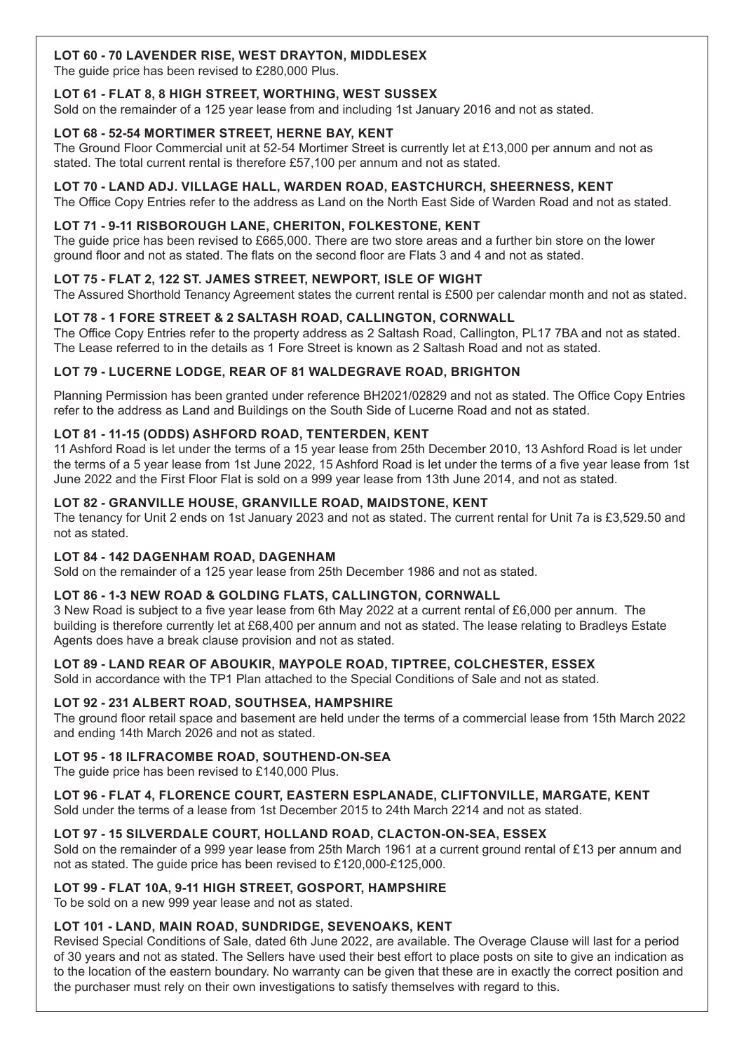#### **LOT 60 - 70 LAVENDER RISE, WEST DRAYTON, MIDDLESEX**

The guide price has been revised to £280,000 Plus.

#### **LOT 61 - FLAT 8, 8 HIGH STREET, WORTHING, WEST SUSSEX**

Sold on the remainder of a 125 year lease from and including 1st January 2016 and not as stated.

#### **LOT 68 - 52-54 MORTIMER STREET, HERNE BAY, KENT**

The Ground Floor Commercial unit at 52-54 Mortimer Street is currently let at £13,000 per annum and not as stated. The total current rental is therefore £57,100 per annum and not as stated.

#### **LOT 70 - LAND ADJ. VILLAGE HALL, WARDEN ROAD, EASTCHURCH, SHEERNESS, KENT**

The Office Copy Entries refer to the address as Land on the North East Side of Warden Road and not as stated.

#### **LOT 71 - 9-11 RISBOROUGH LANE, CHERITON, FOLKESTONE, KENT**

The guide price has been revised to £665,000. There are two store areas and a further bin store on the lower ground floor and not as stated. The flats on the second floor are Flats 3 and 4 and not as stated.

#### **LOT 75 - FLAT 2, 122 ST. JAMES STREET, NEWPORT, ISLE OF WIGHT**

The Assured Shorthold Tenancy Agreement states the current rental is £500 per calendar month and not as stated.

#### **LOT 78 - 1 FORE STREET & 2 SALTASH ROAD, CALLINGTON, CORNWALL**

The Office Copy Entries refer to the property address as 2 Saltash Road, Callington, PL17 7BA and not as stated. The Lease referred to in the details as 1 Fore Street is known as 2 Saltash Road and not as stated.

#### **LOT 79 - LUCERNE LODGE, REAR OF 81 WALDEGRAVE ROAD, BRIGHTON**

Planning Permission has been granted under reference BH2021/02829 and not as stated. The Office Copy Entries refer to the address as Land and Buildings on the South Side of Lucerne Road and not as stated.

#### **LOT 81 - 11-15 (ODDS) ASHFORD ROAD, TENTERDEN, KENT**

11 Ashford Road is let under the terms of a 15 year lease from 25th December 2010, 13 Ashford Road is let under the terms of a 5 year lease from 1st June 2022, 15 Ashford Road is let under the terms of a five year lease from 1st June 2022 and the First Floor Flat is sold on a 999 year lease from 13th June 2014, and not as stated.

#### **LOT 82 - GRANVILLE HOUSE, GRANVILLE ROAD, MAIDSTONE, KENT**

The tenancy for Unit 2 ends on 1st January 2023 and not as stated. The current rental for Unit 7a is £3,529.50 and not as stated.

#### **LOT 84 - 142 DAGENHAM ROAD, DAGENHAM**

Sold on the remainder of a 125 year lease from 25th December 1986 and not as stated.

#### **LOT 86 - 1-3 NEW ROAD & GOLDING FLATS, CALLINGTON, CORNWALL**

3 New Road is subject to a five year lease from 6th May 2022 at a current rental of £6,000 per annum. The building is therefore currently let at £68,400 per annum and not as stated. The lease relating to Bradleys Estate Agents does have a break clause provision and not as stated.

#### **LOT 89 - LAND REAR OF ABOUKIR, MAYPOLE ROAD, TIPTREE, COLCHESTER, ESSEX**

Sold in accordance with the TP1 Plan attached to the Special Conditions of Sale and not as stated.

#### **LOT 92 - 231 ALBERT ROAD, SOUTHSEA, HAMPSHIRE**

The ground floor retail space and basement are held under the terms of a commercial lease from 15th March 2022 and ending 14th March 2026 and not as stated.

#### **LOT 95 - 18 ILFRACOMBE ROAD, SOUTHEND-ON-SEA**

The guide price has been revised to £140,000 Plus.

#### **LOT 96 - FLAT 4, FLORENCE COURT, EASTERN ESPLANADE, CLIFTONVILLE, MARGATE, KENT**

Sold under the terms of a lease from 1st December 2015 to 24th March 2214 and not as stated.

#### **LOT 97 - 15 SILVERDALE COURT, HOLLAND ROAD, CLACTON-ON-SEA, ESSEX**

Sold on the remainder of a 999 year lease from 25th March 1961 at a current ground rental of £13 per annum and not as stated. The guide price has been revised to £120,000-£125,000.

#### **LOT 99 - FLAT 10A, 9-11 HIGH STREET, GOSPORT, HAMPSHIRE**

To be sold on a new 999 year lease and not as stated.

#### **LOT 101 - LAND, MAIN ROAD, SUNDRIDGE, SEVENOAKS, KENT**

Revised Special Conditions of Sale, dated 6th June 2022, are available. The Overage Clause will last for a period of 30 years and not as stated. The Sellers have used their best effort to place posts on site to give an indication as to the location of the eastern boundary. No warranty can be given that these are in exactly the correct position and the purchaser must rely on their own investigations to satisfy themselves with regard to this.